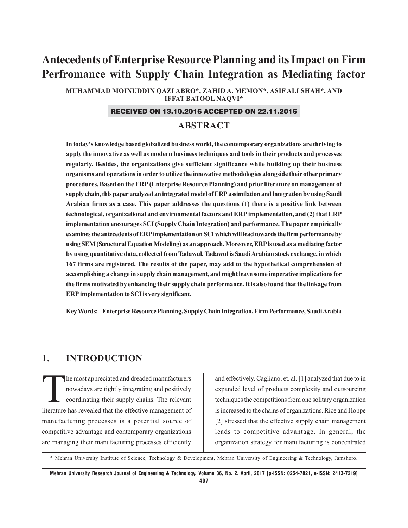# **Antecedents of Enterprise Resource Planning and its Impact on Firm Perfromance with Supply Chain Integration as Mediating factor**

**MUHAMMAD MOINUDDIN QAZI ABRO\*, ZAHID A. MEMON\*, ASIF ALI SHAH\*, AND IFFAT BATOOL NAQVI\***

#### RECEIVED ON 13.10.2016 ACCEPTED ON 22.11.2016

### **ABSTRACT**

**In today's knowledge based globalized business world, the contemporary organizations are thriving to apply the innovative as well as modern business techniques and tools in their products and processes regularly. Besides, the organizations give sufficient significance while building up their business organisms and operations in order to utilize the innovative methodologies alongside their other primary procedures. Based on the ERP (Enterprise Resource Planning) and prior literature on management of supply chain, this paper analyzed an integrated model of ERP assimilation and integration by using Saudi Arabian firms as a case. This paper addresses the questions (1) there is a positive link between technological, organizational and environmental factors and ERP implementation, and (2) that ERP implementation encourages SCI (Supply Chain Integration) and performance. The paper empirically examines the antecedents of ERP implementation on SCI which will lead towards the firm performance by using SEM (Structural Equation Modeling) as an approach. Moreover, ERP is used as a mediating factor by using quantitative data, collected from Tadawul. Tadawul is Saudi Arabian stock exchange, in which 167 firms are registered. The results of the paper, may add to the hypothetical comprehension of accomplishing a change in supply chain management, and might leave some imperative implications for the firms motivated by enhancing their supply chain performance. It is also found that the linkage from ERP implementation to SCI is very significant.**

**Key Words: Enterprise Resource Planning, Supply Chain Integration, Firm Performance, Saudi Arabia**

### **1. INTRODUCTION**

The most appreciated and dreaded manufacturers<br>nowadays are tightly integrating and positively<br>coordinating their supply chains. The relevant nowadays are tightly integrating and positively coordinating their supply chains. The relevant literature has revealed that the effective management of manufacturing processes is a potential source of competitive advantage and contemporary organizations are managing their manufacturing processes efficiently

and effectively. Cagliano, et. al. [1] analyzed that due to in expanded level of products complexity and outsourcing techniques the competitions from one solitary organization is increased to the chains of organizations. Rice and Hoppe [2] stressed that the effective supply chain management leads to competitive advantage. In general, the organization strategy for manufacturing is concentrated

\* Mehran University Institute of Science, Technology & Development, Mehran University of Engineering & Technology, Jamshoro.

**Mehran University Research Journal of Engineering & Technology, Volume 36, No. 2, April, 2017 [p-ISSN: 0254-7821, e-ISSN: 2413-7219] 407**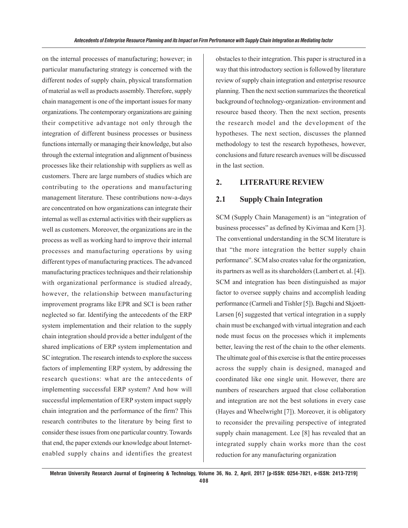on the internal processes of manufacturing; however; in particular manufacturing strategy is concerned with the different nodes of supply chain, physical transformation of material as well as products assembly. Therefore, supply chain management is one of the important issues for many organizations. The contemporary organizations are gaining their competitive advantage not only through the integration of different business processes or business functions internally or managing their knowledge, but also through the external integration and alignment of business processes like their relationship with suppliers as well as customers. There are large numbers of studies which are contributing to the operations and manufacturing management literature. These contributions now-a-days are concentrated on how organizations can integrate their internal as well as external activities with their suppliers as well as customers. Moreover, the organizations are in the process as well as working hard to improve their internal processes and manufacturing operations by using different types of manufacturing practices. The advanced manufacturing practices techniques and their relationship with organizational performance is studied already, however, the relationship between manufacturing improvement programs like EPR and SCI is been rather neglected so far. Identifying the antecedents of the ERP system implementation and their relation to the supply chain integration should provide a better indulgent of the shared implications of ERP system implementation and SC integration. The research intends to explore the success factors of implementing ERP system, by addressing the research questions: what are the antecedents of implementing successful ERP system? And how will successful implementation of ERP system impact supply chain integration and the performance of the firm? This research contributes to the literature by being first to consider these issues from one particular country. Towards that end, the paper extends our knowledge about Internetenabled supply chains and identifies the greatest

obstacles to their integration. This paper is structured in a way that this introductory section is followed by literature review of supply chain integration and enterprise resource planning. Then the next section summarizes the theoretical background of technology-organization- environment and resource based theory. Then the next section, presents the research model and the development of the hypotheses. The next section, discusses the planned methodology to test the research hypotheses, however, conclusions and future research avenues will be discussed in the last section.

#### **2. LITERATURE REVIEW**

### **2.1 Supply Chain Integration**

SCM (Supply Chain Management) is an "integration of business processes" as defined by Kivimaa and Kern [3]. The conventional understanding in the SCM literature is that "the more integration the better supply chain performance". SCM also creates value for the organization, its partners as well as its shareholders (Lambert et. al. [4]). SCM and integration has been distinguished as major factor to oversee supply chains and accomplish leading performance (Carmeli and Tishler [5]). Bagchi and Skjoett-Larsen [6] suggested that vertical integration in a supply chain must be exchanged with virtual integration and each node must focus on the processes which it implements better, leaving the rest of the chain to the other elements. The ultimate goal of this exercise is that the entire processes across the supply chain is designed, managed and coordinated like one single unit. However, there are numbers of researchers argued that close collaboration and integration are not the best solutions in every case (Hayes and Wheelwright [7]). Moreover, it is obligatory to reconsider the prevailing perspective of integrated supply chain management. Lee [8] has revealed that an integrated supply chain works more than the cost reduction for any manufacturing organization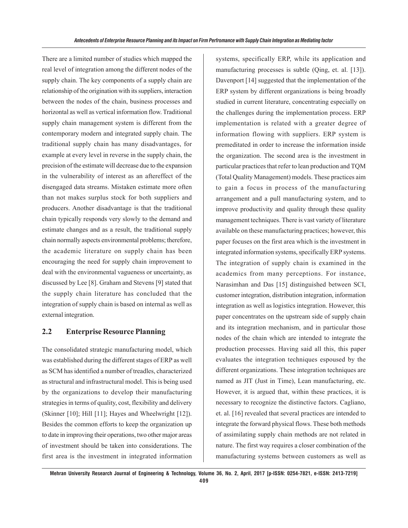There are a limited number of studies which mapped the real level of integration among the different nodes of the supply chain. The key components of a supply chain are relationship of the origination with its suppliers, interaction between the nodes of the chain, business processes and horizontal as well as vertical information flow. Traditional supply chain management system is different from the contemporary modern and integrated supply chain. The traditional supply chain has many disadvantages, for example at every level in reverse in the supply chain, the precision of the estimate will decrease due to the expansion in the vulnerability of interest as an aftereffect of the disengaged data streams. Mistaken estimate more often than not makes surplus stock for both suppliers and producers. Another disadvantage is that the traditional chain typically responds very slowly to the demand and estimate changes and as a result, the traditional supply chain normally aspects environmental problems; therefore, the academic literature on supply chain has been encouraging the need for supply chain improvement to deal with the environmental vagueness or uncertainty, as discussed by Lee [8]. Graham and Stevens [9] stated that the supply chain literature has concluded that the integration of supply chain is based on internal as well as external integration.

### **2.2 Enterprise Resource Planning**

The consolidated strategic manufacturing model, which was established during the different stages of ERP as well as SCM has identified a number of treadles, characterized as structural and infrastructural model. This is being used by the organizations to develop their manufacturing strategies in terms of quality, cost, flexibility and delivery (Skinner [10]; Hill [11]; Hayes and Wheelwright [12]). Besides the common efforts to keep the organization up to date in improving their operations, two other major areas of investment should be taken into considerations. The first area is the investment in integrated information

systems, specifically ERP, while its application and manufacturing processes is subtle (Qing, et. al. [13]). Davenport [14] suggested that the implementation of the ERP system by different organizations is being broadly studied in current literature, concentrating especially on the challenges during the implementation process. ERP implementation is related with a greater degree of information flowing with suppliers. ERP system is premeditated in order to increase the information inside the organization. The second area is the investment in particular practices that refer to lean production and TQM (Total Quality Management) models. These practices aim to gain a focus in process of the manufacturing arrangement and a pull manufacturing system, and to improve productivity and quality through these quality management techniques. There is vast variety of literature available on these manufacturing practices; however, this paper focuses on the first area which is the investment in integrated information systems, specifically ERP systems. The integration of supply chain is examined in the academics from many perceptions. For instance, Narasimhan and Das [15] distinguished between SCI, customer integration, distribution integration, information integration as well as logistics integration. However, this paper concentrates on the upstream side of supply chain and its integration mechanism, and in particular those nodes of the chain which are intended to integrate the production processes. Having said all this, this paper evaluates the integration techniques espoused by the different organizations. These integration techniques are named as JIT (Just in Time), Lean manufacturing, etc. However, it is argued that, within these practices, it is necessary to recognize the distinctive factors. Cagliano, et. al. [16] revealed that several practices are intended to integrate the forward physical flows. These both methods of assimilating supply chain methods are not related in nature. The first way requires a closer combination of the manufacturing systems between customers as well as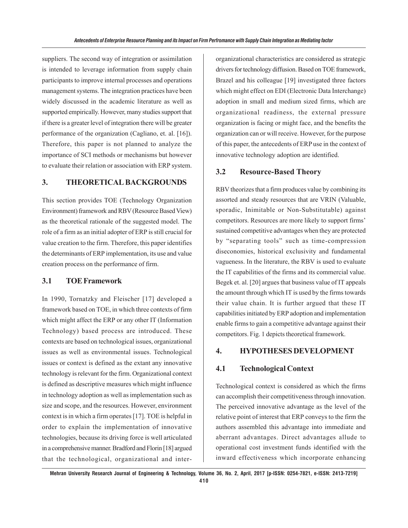suppliers. The second way of integration or assimilation is intended to leverage information from supply chain participants to improve internal processes and operations management systems. The integration practices have been widely discussed in the academic literature as well as supported empirically. However, many studies support that if there is a greater level of integration there will be greater performance of the organization (Cagliano, et. al. [16]). Therefore, this paper is not planned to analyze the importance of SCI methods or mechanisms but however to evaluate their relation or association with ERP system.

### **3. THEORETICAL BACKGROUNDS**

This section provides TOE (Technology Organization Environment) framework and RBV (Resource Based View) as the theoretical rationale of the suggested model. The role of a firm as an initial adopter of ERP is still crucial for value creation to the firm. Therefore, this paper identifies the determinants of ERP implementation, its use and value creation process on the performance of firm.

### **3.1 TOE Framework**

In 1990, Tornatzky and Fleischer [17] developed a framework based on TOE, in which three contexts of firm which might affect the ERP or any other IT (Information Technology) based process are introduced. These contexts are based on technological issues, organizational issues as well as environmental issues. Technological issues or context is defined as the extant any innovative technology is relevant for the firm. Organizational context is defined as descriptive measures which might influence in technology adoption as well as implementation such as size and scope, and the resources. However, environment context is in which a firm operates [17]. TOE is helpful in order to explain the implementation of innovative technologies, because its driving force is well articulated in a comprehensive manner. Bradford and Florin [18] argued that the technological, organizational and interorganizational characteristics are considered as strategic drivers for technology diffusion. Based on TOE framework, Brazel and his colleague [19] investigated three factors which might effect on EDI (Electronic Data Interchange) adoption in small and medium sized firms, which are organizational readiness, the external pressure organization is facing or might face, and the benefits the organization can or will receive. However, for the purpose of this paper, the antecedents of ERP use in the context of innovative technology adoption are identified.

#### **3.2 Resource-Based Theory**

RBV theorizes that a firm produces value by combining its assorted and steady resources that are VRIN (Valuable, sporadic, Inimitable or Non-Substitutable) against competitors. Resources are more likely to support firms' sustained competitive advantages when they are protected by "separating tools" such as time-compression diseconomies, historical exclusivity and fundamental vagueness. In the literature, the RBV is used to evaluate the IT capabilities of the firms and its commercial value. Begek et. al. [20] argues that business value of IT appeals the amount through which IT is used by the firms towards their value chain. It is further argued that these IT capabilities initiated by ERP adoption and implementation enable firms to gain a competitive advantage against their competitors. Fig. 1 depicts theoretical framework.

#### **4. HYPOTHESES DEVELOPMENT**

### **4.1 Technological Context**

Technological context is considered as which the firms can accomplish their competitiveness through innovation. The perceived innovative advantage as the level of the relative point of interest that ERP conveys to the firm the authors assembled this advantage into immediate and aberrant advantages. Direct advantages allude to operational cost investment funds identified with the inward effectiveness which incorporate enhancing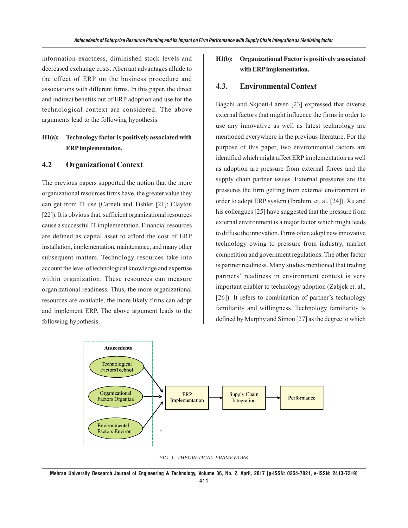information exactness, diminished stock levels and decreased exchange costs. Aberrant advantages allude to the effect of ERP on the business procedure and associations with different firms. In this paper, the direct and indirect benefits out of ERP adoption and use for the technological context are considered. The above arguments lead to the following hypothesis.

### **H1(a): Technology factor is positively associated with ERP implementation.**

### **4.2 Organizational Context**

The previous papers supported the notion that the more organizational resources firms have, the greater value they can get from IT use (Carneli and Tishler [21]; Clayton [22]). It is obvious that, sufficient organizational resources cause a successful IT implementation. Financial resources are defined as capital asset to afford the cost of ERP installation, implementation, maintenance, and many other subsequent matters. Technology resources take into account the level of technological knowledge and expertise within organization. These resources can measure organizational readiness. Thus, the more organizational resources are available, the more likely firms can adopt and implement ERP. The above argument leads to the following hypothesis.

### **H1(b): Organizational Factor is positively associated with ERP implementation.**

#### **4.3. Environmental Context**

Bagchi and Skjoett-Larsen [23] expressed that diverse external factors that might influence the firms in order to use any innovative as well as latest technology are mentioned everywhere in the previous literature. For the purpose of this paper, two environmental factors are identified which might affect ERP implementation as well as adoption are pressure from external forces and the supply chain partner issues. External pressures are the pressures the firm getting from external environment in order to adopt ERP system (Ibrahim, et. al. [24]). Xu and his colleagues [25] have suggested that the pressure from external environment is a major factor which might leads to diffuse the innovation. Firms often adopt new innovative technology owing to pressure from industry, market competition and government regulations. The other factor is partner readiness. Many studies mentioned that trading partners' readiness in environment context is very important enabler to technology adoption (Zabjek et. al., [26]). It refers to combination of partner's technology familiarity and willingness. Technology familiarity is defined by Murphy and Simon [27] as the degree to which



*FIG. 1. THEORETICAL FRAMEWORK*

**Mehran University Research Journal of Engineering & Technology, Volume 36, No. 2, April, 2017 [p-ISSN: 0254-7821, e-ISSN: 2413-7219] 411**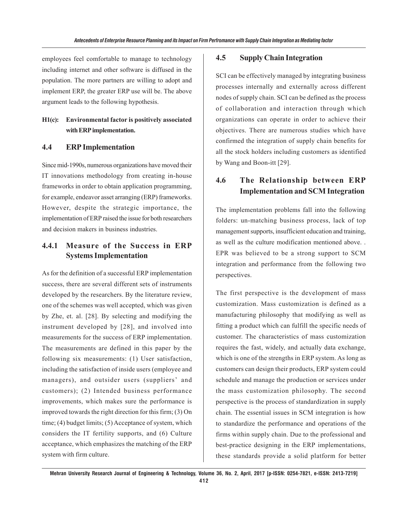employees feel comfortable to manage to technology including internet and other software is diffused in the population. The more partners are willing to adopt and implement ERP, the greater ERP use will be. The above argument leads to the following hypothesis.

### **H1(c): Environmental factor is positively associated with ERP implementation.**

### **4.4 ERP Implementation**

Since mid-1990s, numerous organizations have moved their IT innovations methodology from creating in-house frameworks in order to obtain application programming, for example, endeavor asset arranging (ERP) frameworks. However, despite the strategic importance, the implementation of ERP raised the issue for both researchers and decision makers in business industries.

## **4.4.1 Measure of the Success in ERP Systems Implementation**

As for the definition of a successful ERP implementation success, there are several different sets of instruments developed by the researchers. By the literature review, one of the schemes was well accepted, which was given by Zhe, et. al. [28]. By selecting and modifying the instrument developed by [28], and involved into measurements for the success of ERP implementation. The measurements are defined in this paper by the following six measurements: (1) User satisfaction, including the satisfaction of inside users (employee and managers), and outsider users (suppliers' and customers); (2) Intended business performance improvements, which makes sure the performance is improved towards the right direction for this firm; (3) On time; (4) budget limits; (5) Acceptance of system, which considers the IT fertility supports, and (6) Culture acceptance, which emphasizes the matching of the ERP system with firm culture.

#### **4.5 Supply Chain Integration**

SCI can be effectively managed by integrating business processes internally and externally across different nodes of supply chain. SCI can be defined as the process of collaboration and interaction through which organizations can operate in order to achieve their objectives. There are numerous studies which have confirmed the integration of supply chain benefits for all the stock holders including customers as identified by Wang and Boon-itt [29].

# **4.6 The Relationship between ERP Implementation and SCM Integration**

The implementation problems fall into the following folders: un-matching business process, lack of top management supports, insufficient education and training, as well as the culture modification mentioned above. . EPR was believed to be a strong support to SCM integration and performance from the following two perspectives.

The first perspective is the development of mass customization. Mass customization is defined as a manufacturing philosophy that modifying as well as fitting a product which can fulfill the specific needs of customer. The characteristics of mass customization requires the fast, widely, and actually data exchange, which is one of the strengths in ERP system. As long as customers can design their products, ERP system could schedule and manage the production or services under the mass customization philosophy. The second perspective is the process of standardization in supply chain. The essential issues in SCM integration is how to standardize the performance and operations of the firms within supply chain. Due to the professional and best-practice designing in the ERP implementations, these standards provide a solid platform for better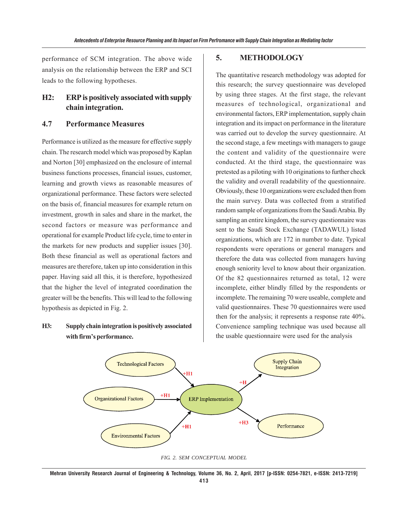performance of SCM integration. The above wide analysis on the relationship between the ERP and SCI leads to the following hypotheses.

### **H2: ERP is positively associated with supply chain integration.**

#### **4.7 Performance Measures**

Performance is utilized as the measure for effective supply chain. The research model which was proposed by Kaplan and Norton [30] emphasized on the enclosure of internal business functions processes, financial issues, customer, learning and growth views as reasonable measures of organizational performance. These factors were selected on the basis of, financial measures for example return on investment, growth in sales and share in the market, the second factors or measure was performance and operational for example Product life cycle, time to enter in the markets for new products and supplier issues [30]. Both these financial as well as operational factors and measures are therefore, taken up into consideration in this paper. Having said all this, it is therefore, hypothesized that the higher the level of integrated coordination the greater will be the benefits. This will lead to the following hypothesis as depicted in Fig. 2.

### **H3: Supply chain integration is positively associated with firm's performance.**

#### **5. METHODOLOGY**

The quantitative research methodology was adopted for this research; the survey questionnaire was developed by using three stages. At the first stage, the relevant measures of technological, organizational and environmental factors, ERP implementation, supply chain integration and its impact on performance in the literature was carried out to develop the survey questionnaire. At the second stage, a few meetings with managers to gauge the content and validity of the questionnaire were conducted. At the third stage, the questionnaire was pretested as a piloting with 10 originations to further check the validity and overall readability of the questionnaire. Obviously, these 10 organizations were excluded then from the main survey. Data was collected from a stratified random sample of organizations from the Saudi Arabia. By sampling an entire kingdom, the survey questionnaire was sent to the Saudi Stock Exchange (TADAWUL) listed organizations, which are 172 in number to date. Typical respondents were operations or general managers and therefore the data was collected from managers having enough seniority level to know about their organization. Of the 82 questionnaires returned as total, 12 were incomplete, either blindly filled by the respondents or incomplete. The remaining 70 were useable, complete and valid questionnaires. These 70 questionnaires were used then for the analysis; it represents a response rate 40%. Convenience sampling technique was used because all the usable questionnaire were used for the analysis





**Mehran University Research Journal of Engineering & Technology, Volume 36, No. 2, April, 2017 [p-ISSN: 0254-7821, e-ISSN: 2413-7219] 413**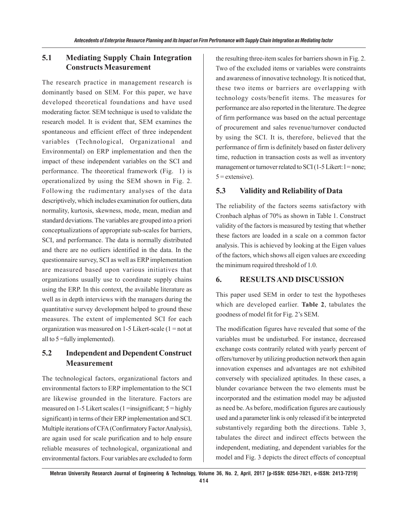### **5.1 Mediating Supply Chain Integration Constructs Measurement**

The research practice in management research is dominantly based on SEM. For this paper, we have developed theoretical foundations and have used moderating factor. SEM technique is used to validate the research model. It is evident that, SEM examines the spontaneous and efficient effect of three independent variables (Technological, Organizational and Environmental) on ERP implementation and then the impact of these independent variables on the SCI and performance. The theoretical framework (Fig. 1) is operationalized by using the SEM shown in Fig. 2. Following the rudimentary analyses of the data descriptively, which includes examination for outliers, data normality, kurtosis, skewness, mode, mean, median and standard deviations. The variables are grouped into a priori conceptualizations of appropriate sub-scales for barriers, SCI, and performance. The data is normally distributed and there are no outliers identified in the data. In the questionnaire survey, SCI as well as ERP implementation are measured based upon various initiatives that organizations usually use to coordinate supply chains using the ERP. In this context, the available literature as well as in depth interviews with the managers during the quantitative survey development helped to ground these measures. The extent of implemented SCI for each organization was measured on  $1-5$  Likert-scale ( $1 = not$  at all to 5 =fully implemented).

## **5.2 Independent and Dependent Construct Measurement**

The technological factors, organizational factors and environmental factors to ERP implementation to the SCI are likewise grounded in the literature. Factors are measured on 1-5 Likert scales  $(1 = \{ \text{insignificant} ; 5 = \text{highly} \})$ significant) in terms of their ERP implementation and SCI. Multiple iterations of CFA (Confirmatory Factor Analysis), are again used for scale purification and to help ensure reliable measures of technological, organizational and environmental factors. Four variables are excluded to form the resulting three-item scales for barriers shown in Fig. 2. Two of the excluded items or variables were constraints and awareness of innovative technology. It is noticed that, these two items or barriers are overlapping with technology costs/benefit items. The measures for performance are also reported in the literature. The degree of firm performance was based on the actual percentage of procurement and sales revenue/turnover conducted by using the SCI. It is, therefore, believed that the performance of firm is definitely based on faster delivery time, reduction in transaction costs as well as inventory management or turnover related to SCI (1-5 Likert:  $l = none$ ;  $5$  = extensive).

### **5.3 Validity and Reliability of Data**

The reliability of the factors seems satisfactory with Cronbach alphas of 70% as shown in Table 1. Construct validity of the factors is measured by testing that whether these factors are loaded in a scale on a common factor analysis. This is achieved by looking at the Eigen values of the factors, which shows all eigen values are exceeding the minimum required threshold of 1.0.

### **6. RESULTS AND DISCUSSION**

This paper used SEM in order to test the hypotheses which are developed earlier. **Table 2**, tabulates the goodness of model fit for Fig. 2's SEM.

The modification figures have revealed that some of the variables must be undisturbed. For instance, decreased exchange costs contrarily related with yearly percent of offers/turnover by utilizing production network then again innovation expenses and advantages are not exhibited conversely with specialized aptitudes. In these cases, a blunder covariance between the two elements must be incorporated and the estimation model may be adjusted as need be. As before, modification figures are cautiously used and a parameter link is only released if it be interpreted substantively regarding both the directions. Table 3, tabulates the direct and indirect effects between the independent, mediating, and dependent variables for the model and Fig. 3 depicts the direct effects of conceptual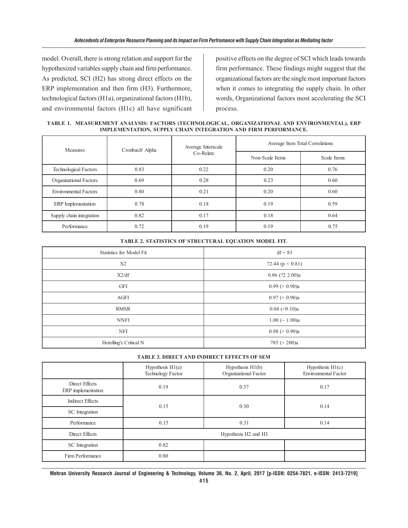model. Overall, there is strong relation and support for the hypothesized variables supply chain and firm performance. As predicted, SCI (H2) has strong direct effects on the ERP implementation and then firm (H3). Furthermore, technological factors (H1a), organizational factors (H1b), and environmental factors (H1c) all have significant positive effects on the degree of SCI which leads towards firm performance. These findings might suggest that the organizational factors are the single most important factors when it comes to integrating the supply chain. In other words, Organizational factors most accelerating the SCI process.

**TABLE 1. MEASUREMENT ANALYSIS: FACTORS (TECHNOLOGICAL, ORGANIZATIONAL AND ENVIRONMENTAL), ERP IMPLEMENTATION, SUPPLY CHAIN INTEGRATION AND FIRM PERFORMANCE.**

| <b>Measures</b>              | Cronbach' Alpha | Average Interscale<br>Co-Relate | Average Item Total Correlations |             |
|------------------------------|-----------------|---------------------------------|---------------------------------|-------------|
|                              |                 |                                 | Non-Scale Items                 | Scale Items |
| Technological Factors        | 0.83            | 0.22                            | 0.20                            | 0.76        |
| Organizational Factors       | 0.69            | 0.28                            | 0.23                            | 0.60        |
| <b>Environmental Factors</b> | 0.80            | 0.21                            | 0.20                            | 0.60        |
| ERP Implementation           | 0.78            | 0.18                            | 0.19                            | 0.59        |
| Supply chain integration     | 0.82            | 0.17                            | 0.18                            | 0.64        |
| Performance                  | 0.72            | 0.19                            | 0.19                            | 0.75        |

| Statistics for Model Fit | $df = 83$            |  |
|--------------------------|----------------------|--|
| X <sub>2</sub>           | 72.44 ( $p < 0.81$ ) |  |
| X2/df                    | $0.86$ (?2 2.00)a    |  |
| <b>GFI</b>               | 0.99 (> 0.90)a       |  |
| AGFI                     | 0.97 (> 0.90)a       |  |
| <b>RMSR</b>              | $0.04$ (< $0.10$ )a  |  |
| <b>NNFI</b>              | $1.00 \; (< 1.00)a$  |  |
| <b>NFI</b>               | 0.98 (> 0.90)a       |  |
| Hotelling's Critical N   | 785 ( $>$ 200)a      |  |

#### **TABLE 2. STATISTICS OF STRUCTURAL EQUATION MODEL FIT.**

#### **TABLE 3. DIRECT AND INDIRECT EFFECTS OF SEM**

|                                      | Hypothesis H1(a)<br>Technology Factor | Hypothesis H1(b)<br>Organizational Factor | Hypothesis $H1(c)$<br><b>Environmental Factor</b> |
|--------------------------------------|---------------------------------------|-------------------------------------------|---------------------------------------------------|
| Direct Effects<br>ERP implementation | 0.19                                  | 0.37                                      | 0.17                                              |
| <b>Indirect Effects</b>              | 0.15                                  | 0.30                                      | 0.14                                              |
| SC Integration                       |                                       |                                           |                                                   |
| Performance                          | 0.15                                  | 0.31                                      | 0.14                                              |
| Direct Effects                       | Hypothesis H2 and H3                  |                                           |                                                   |
| SC Integration                       | 0.82                                  |                                           |                                                   |
| Firm Performance                     | 0.80                                  |                                           |                                                   |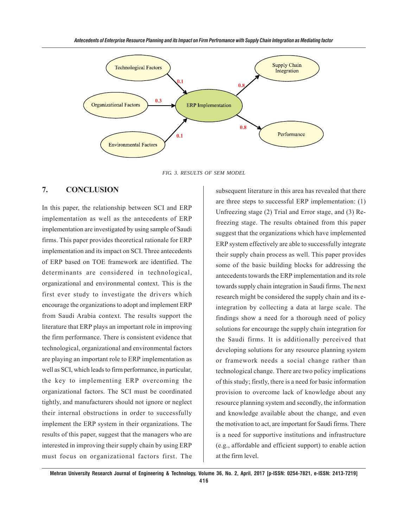

*FIG. 3. RESULTS OF SEM MODEL*

### **7. CONCLUSION**

In this paper, the relationship between SCI and ERP implementation as well as the antecedents of ERP implementation are investigated by using sample of Saudi firms. This paper provides theoretical rationale for ERP implementation and its impact on SCI. Three antecedents of ERP based on TOE framework are identified. The determinants are considered in technological, organizational and environmental context. This is the first ever study to investigate the drivers which encourage the organizations to adopt and implement ERP from Saudi Arabia context. The results support the literature that ERP plays an important role in improving the firm performance. There is consistent evidence that technological, organizational and environmental factors are playing an important role to ERP implementation as well as SCI, which leads to firm performance, in particular, the key to implementing ERP overcoming the organizational factors. The SCI must be coordinated tightly, and manufacturers should not ignore or neglect their internal obstructions in order to successfully implement the ERP system in their organizations. The results of this paper, suggest that the managers who are interested in improving their supply chain by using ERP must focus on organizational factors first. The

subsequent literature in this area has revealed that there are three steps to successful ERP implementation: (1) Unfreezing stage (2) Trial and Error stage, and (3) Refreezing stage. The results obtained from this paper suggest that the organizations which have implemented ERP system effectively are able to successfully integrate their supply chain process as well. This paper provides some of the basic building blocks for addressing the antecedents towards the ERP implementation and its role towards supply chain integration in Saudi firms. The next research might be considered the supply chain and its eintegration by collecting a data at large scale. The findings show a need for a thorough need of policy solutions for encourage the supply chain integration for the Saudi firms. It is additionally perceived that developing solutions for any resource planning system or framework needs a social change rather than technological change. There are two policy implications of this study; firstly, there is a need for basic information provision to overcome lack of knowledge about any resource planning system and secondly, the information and knowledge available about the change, and even the motivation to act, are important for Saudi firms. There is a need for supportive institutions and infrastructure (e.g., affordable and efficient support) to enable action at the firm level.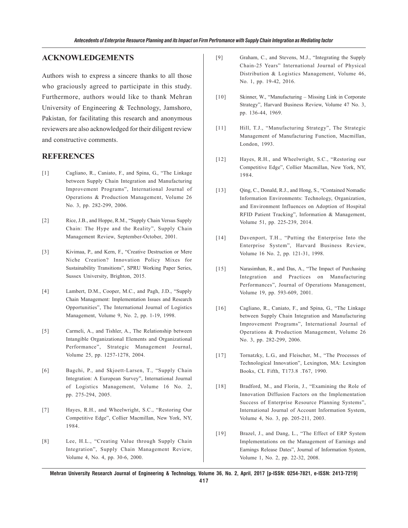#### **ACKNOWLEDGEMENTS**

Authors wish to express a sincere thanks to all those who graciously agreed to participate in this study. Furthermore, authors would like to thank Mehran University of Engineering & Technology, Jamshoro, Pakistan, for facilitating this research and anonymous reviewers are also acknowledged for their diligent review and constructive comments.

#### **REFERENCES**

- [1] Cagliano, R., Caniato, F., and Spina, G., "The Linkage between Supply Chain Integration and Manufacturing Improvement Programs", International Journal of Operations & Production Management, Volume 26 No. 3, pp. 282-299, 2006.
- [2] Rice, J.B., and Hoppe, R.M., "Supply Chain Versus Supply Chain: The Hype and the Reality", Supply Chain Management Review, September-October, 2001.
- [3] Kivimaa, P., and Kern, F., "Creative Destruction or Mere Niche Creation? Innovation Policy Mixes for Sustainability Transitions", SPRU Working Paper Series, Sussex University, Brighton, 2015.
- [4] Lambert, D.M., Cooper, M.C., and Pagh, J.D., "Supply Chain Management: Implementation Issues and Research Opportunities", The International Journal of Logistics Management, Volume 9, No. 2, pp. 1-19, 1998.
- [5] Carmeli, A., and Tishler, A., The Relationship between Intangible Organizational Elements and Organizational Performance", Strategic Management Journal, Volume 25, pp. 1257-1278, 2004.
- [6] Bagchi, P., and Skjoett-Larsen, T., "Supply Chain Integration: A European Survey", International Journal of Logistics Management, Volume 16 No. 2, pp. 275-294, 2005.
- [7] Hayes, R.H., and Wheelwright, S.C., "Restoring Our Competitive Edge", Collier Macmillan, New York, NY, 1984.
- [8] Lee, H.L., "Creating Value through Supply Chain Integration", Supply Chain Management Review, Volume 4, No. 4, pp. 30-6, 2000.
- [9] Graham, C., and Stevens, M.J., "Integrating the Supply Chain-25 Years" International Journal of Physical Distribution & Logistics Management, Volume 46, No. 1, pp. 19-42, 2016.
- [10] Skinner, W., "Manufacturing Missing Link in Corporate Strategy", Harvard Business Review, Volume 47 No. 3, pp. 136-44, 1969.
- [11] Hill, T.J., "Manufacturing Strategy", The Strategic Management of Manufacturing Function, Macmillan, London, 1993.
- [12] Hayes, R.H., and Wheelwright, S.C., "Restoring our Competitive Edge", Collier Macmillan, New York, NY, 1984.
- [13] Oing, C., Donald, R.J., and Hong, S., "Contained Nomadic Information Environments: Technology, Organization, and Environment Influences on Adoption of Hospital RFID Patient Tracking", Information & Management, Volume 51, pp. 225-239, 2014.
- [14] Davenport, T.H., "Putting the Enterprise Into the Enterprise System", Harvard Business Review, Volume 16 No. 2, pp. 121-31, 1998.
- [15] Narasimhan, R., and Das, A., "The Impact of Purchasing Integration and Practices on Manufacturing Performances", Journal of Operations Management, Volume 19, pp. 593-609, 2001.
- [16] Cagliano, R., Caniato, F., and Spina, G., "The Linkage between Supply Chain Integration and Manufacturing Improvement Programs", International Journal of Operations & Production Management, Volume 26 No. 3, pp. 282-299, 2006.
- [17] Tornatzky, L.G., and Fleischer, M., "The Processes of Technological Innovation", Lexington, MA: Lexington Books, CL Fifth, T173.8 .T67, 1990.
- [18] Bradford, M., and Florin, J., "Examining the Role of Innovation Diffusion Factors on the Implementation Success of Enterprise Resource Planning Systems", International Journal of Account Information System, Volume 4, No. 3, pp. 205-211, 2003.
- [19] Brazel, J., and Dang, L., "The Effect of ERP System Implementations on the Management of Earnings and Earnings Release Dates", Journal of Information System, Volume 1, No. 2, pp. 22-32, 2008.